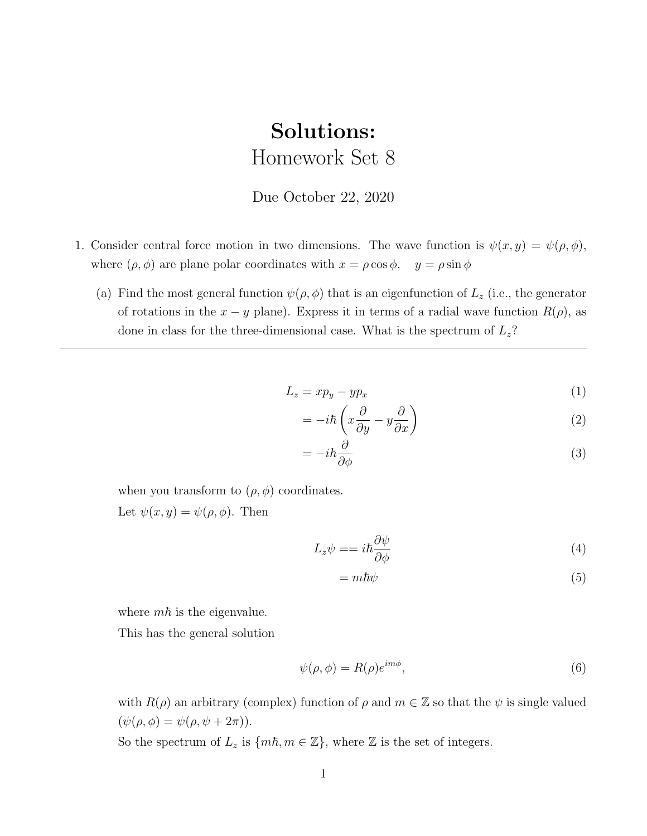## Solutions: Homework Set 8

## Due October 22, 2020

- <span id="page-0-0"></span>1. Consider central force motion in two dimensions. The wave function is  $\psi(x, y) = \psi(\rho, \phi)$ , where  $(\rho, \phi)$  are plane polar coordinates with  $x = \rho \cos \phi$ ,  $y = \rho \sin \phi$ 
	- (a) Find the most general function  $\psi(\rho, \phi)$  that is an eigenfunction of  $L_z$  (i.e., the generator of rotations in the  $x - y$  plane). Express it in terms of a radial wave function  $R(\rho)$ , as done in class for the three-dimensional case. What is the spectrum of  $L_z$ ?

$$
L_z = xp_y - yp_x \tag{1}
$$

$$
= -i\hbar \left( x \frac{\partial}{\partial y} - y \frac{\partial}{\partial x} \right) \tag{2}
$$

$$
= -i\hbar \frac{\partial}{\partial \phi} \tag{3}
$$

when you transform to  $(\rho, \phi)$  coordinates.

Let  $\psi(x, y) = \psi(\rho, \phi)$ . Then

$$
L_z \psi = = i\hbar \frac{\partial \psi}{\partial \phi} \tag{4}
$$

$$
= m\hbar\psi \tag{5}
$$

where  $m\hbar$  is the eigenvalue.

This has the general solution

$$
\psi(\rho,\phi) = R(\rho)e^{im\phi},\tag{6}
$$

with  $R(\rho)$  an arbitrary (complex) function of  $\rho$  and  $m \in \mathbb{Z}$  so that the  $\psi$  is single valued  $(\psi(\rho, \phi) = \psi(\rho, \psi + 2\pi)).$ 

So the spectrum of  $L_z$  is  $\{m\hbar, m \in \mathbb{Z}\}$ , where  $\mathbb Z$  is the set of integers.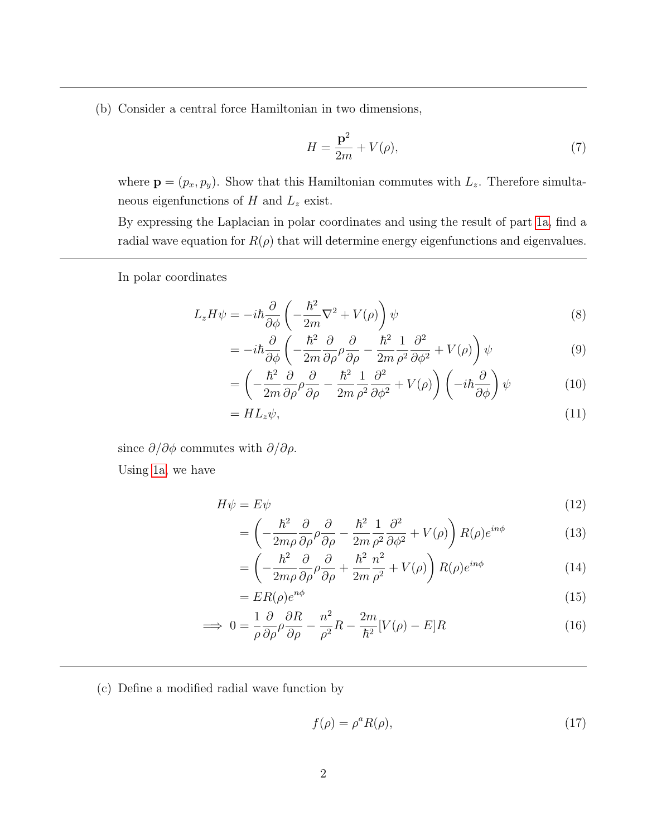(b) Consider a central force Hamiltonian in two dimensions,

$$
H = \frac{\mathbf{p}^2}{2m} + V(\rho),\tag{7}
$$

where  $\mathbf{p} = (p_x, p_y)$ . Show that this Hamiltonian commutes with  $L_z$ . Therefore simultaneous eigenfunctions of  $H$  and  $L_z$  exist.

By expressing the Laplacian in polar coordinates and using the result of part [1a,](#page-0-0) find a radial wave equation for  $R(\rho)$  that will determine energy eigenfunctions and eigenvalues.

In polar coordinates

$$
L_z H \psi = -i\hbar \frac{\partial}{\partial \phi} \left( -\frac{\hbar^2}{2m} \nabla^2 + V(\rho) \right) \psi \tag{8}
$$

$$
= -i\hbar \frac{\partial}{\partial \phi} \left( -\frac{\hbar^2}{2m} \frac{\partial}{\partial \rho} \rho \frac{\partial}{\partial \rho} - \frac{\hbar^2}{2m} \frac{1}{\rho^2} \frac{\partial^2}{\partial \phi^2} + V(\rho) \right) \psi \tag{9}
$$

$$
= \left(-\frac{\hbar^2}{2m}\frac{\partial}{\partial\rho}\rho\frac{\partial}{\partial\rho} - \frac{\hbar^2}{2m}\frac{1}{\rho^2}\frac{\partial^2}{\partial\phi^2} + V(\rho)\right)\left(-i\hbar\frac{\partial}{\partial\phi}\right)\psi\tag{10}
$$

$$
= HL_z\psi,\tag{11}
$$

since  $\partial/\partial \phi$  commutes with  $\partial/\partial \rho$ .

Using [1a,](#page-0-0) we have

$$
H\psi = E\psi \tag{12}
$$

$$
= \left( -\frac{\hbar^2}{2m\rho} \frac{\partial}{\partial \rho} \rho \frac{\partial}{\partial \rho} - \frac{\hbar^2}{2m} \frac{1}{\rho^2} \frac{\partial^2}{\partial \phi^2} + V(\rho) \right) R(\rho) e^{in\phi}
$$
(13)

$$
= \left(-\frac{\hbar^2}{2m\rho}\frac{\partial}{\partial\rho}\rho\frac{\partial}{\partial\rho} + \frac{\hbar^2}{2m}\frac{n^2}{\rho^2} + V(\rho)\right)R(\rho)e^{in\phi}
$$
(14)

$$
=ER(\rho)e^{n\phi}
$$
\n<sup>(15)</sup>

$$
\implies 0 = \frac{1}{\rho} \frac{\partial}{\partial \rho} \rho \frac{\partial R}{\partial \rho} - \frac{n^2}{\rho^2} R - \frac{2m}{\hbar^2} [V(\rho) - E] R \tag{16}
$$

(c) Define a modified radial wave function by

$$
f(\rho) = \rho^a R(\rho),\tag{17}
$$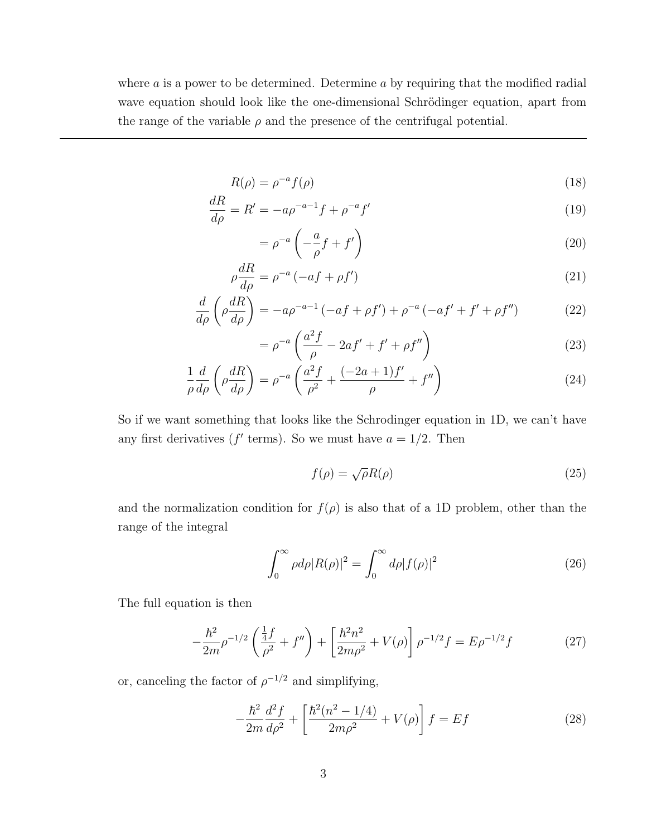where  $a$  is a power to be determined. Determine  $a$  by requiring that the modified radial wave equation should look like the one-dimensional Schrödinger equation, apart from the range of the variable  $\rho$  and the presence of the centrifugal potential.

$$
R(\rho) = \rho^{-a} f(\rho) \tag{18}
$$

$$
\frac{dR}{d\rho} = R' = -a\rho^{-a-1}f + \rho^{-a}f'
$$
\n(19)

$$
= \rho^{-a} \left( -\frac{a}{\rho} f + f' \right) \tag{20}
$$

$$
\rho \frac{dR}{d\rho} = \rho^{-a} \left( -af + \rho f' \right) \tag{21}
$$

$$
\frac{d}{d\rho}\left(\rho\frac{dR}{d\rho}\right) = -a\rho^{-a-1}\left(-af + \rho f'\right) + \rho^{-a}\left(-af' + f' + \rho f''\right) \tag{22}
$$

$$
= \rho^{-a} \left( \frac{a^2 f}{\rho} - 2af' + f' + \rho f'' \right) \tag{23}
$$

$$
\frac{1}{\rho}\frac{d}{d\rho}\left(\rho\frac{dR}{d\rho}\right) = \rho^{-a}\left(\frac{a^2f}{\rho^2} + \frac{(-2a+1)f'}{\rho} + f''\right)
$$
\n(24)

So if we want something that looks like the Schrodinger equation in 1D, we can't have any first derivatives ( $f'$  terms). So we must have  $a = 1/2$ . Then

$$
f(\rho) = \sqrt{\rho}R(\rho) \tag{25}
$$

and the normalization condition for  $f(\rho)$  is also that of a 1D problem, other than the range of the integral

$$
\int_0^\infty \rho d\rho |R(\rho)|^2 = \int_0^\infty d\rho |f(\rho)|^2 \tag{26}
$$

The full equation is then

$$
-\frac{\hbar^2}{2m}\rho^{-1/2}\left(\frac{\frac{1}{4}f}{\rho^2} + f''\right) + \left[\frac{\hbar^2 n^2}{2m\rho^2} + V(\rho)\right]\rho^{-1/2}f = E\rho^{-1/2}f\tag{27}
$$

or, canceling the factor of  $\rho^{-1/2}$  and simplifying,

$$
-\frac{\hbar^2}{2m}\frac{d^2f}{d\rho^2} + \left[\frac{\hbar^2(n^2 - 1/4)}{2m\rho^2} + V(\rho)\right]f = Ef\tag{28}
$$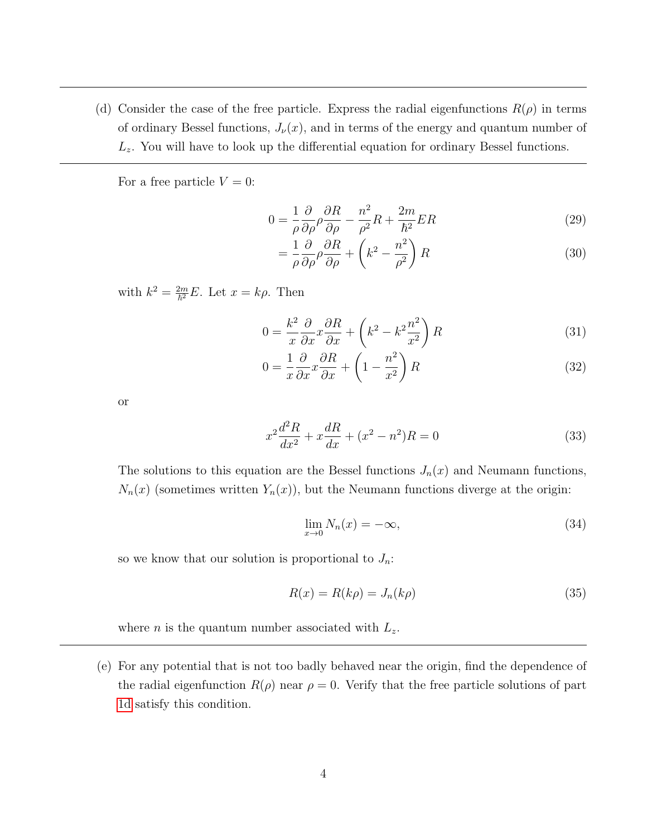<span id="page-3-0"></span>(d) Consider the case of the free particle. Express the radial eigenfunctions  $R(\rho)$  in terms of ordinary Bessel functions,  $J_{\nu}(x)$ , and in terms of the energy and quantum number of  $L<sub>z</sub>$ . You will have to look up the differential equation for ordinary Bessel functions.

For a free particle  $V = 0$ :

$$
0 = \frac{1}{\rho} \frac{\partial}{\partial \rho} \rho \frac{\partial R}{\partial \rho} - \frac{n^2}{\rho^2} R + \frac{2m}{\hbar^2} ER \tag{29}
$$

$$
= \frac{1}{\rho} \frac{\partial}{\partial \rho} \rho \frac{\partial R}{\partial \rho} + \left(k^2 - \frac{n^2}{\rho^2}\right) R \tag{30}
$$

with  $k^2 = \frac{2m}{\hbar^2}E$ . Let  $x = k\rho$ . Then

$$
0 = \frac{k^2}{x} \frac{\partial}{\partial x} x \frac{\partial R}{\partial x} + \left(k^2 - k^2 \frac{n^2}{x^2}\right) R \tag{31}
$$

$$
0 = \frac{1}{x} \frac{\partial}{\partial x} x \frac{\partial R}{\partial x} + \left(1 - \frac{n^2}{x^2}\right) R \tag{32}
$$

or

$$
x^{2}\frac{d^{2}R}{dx^{2}} + x\frac{dR}{dx} + (x^{2} - n^{2})R = 0
$$
\n(33)

The solutions to this equation are the Bessel functions  $J_n(x)$  and Neumann functions,  $N_n(x)$  (sometimes written  $Y_n(x)$ ), but the Neumann functions diverge at the origin:

$$
\lim_{x \to 0} N_n(x) = -\infty,\tag{34}
$$

so we know that our solution is proportional to  $J_n$ :

$$
R(x) = R(k\rho) = J_n(k\rho)
$$
\n(35)

where *n* is the quantum number associated with  $L_z$ .

(e) For any potential that is not too badly behaved near the origin, find the dependence of the radial eigenfunction  $R(\rho)$  near  $\rho = 0$ . Verify that the free particle solutions of part [1d](#page-3-0) satisfy this condition.